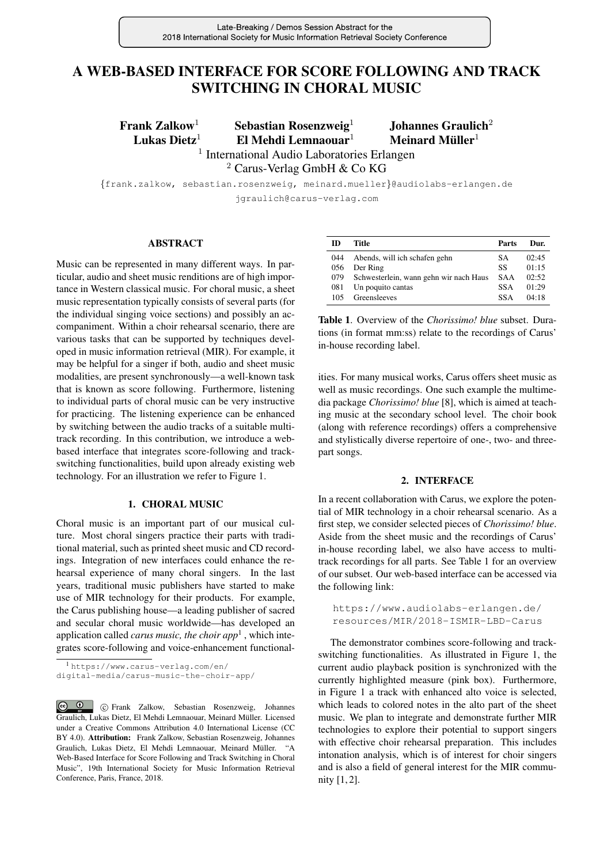# A WEB-BASED INTERFACE FOR SCORE FOLLOWING AND TRACK SWITCHING IN CHORAL MUSIC

Frank Zalkow<sup>1</sup> Sebastian Rosenzweig<sup>1</sup> Johannes Graulich<sup>2</sup> Lukas Dietz<sup>1</sup> El Mehdi Lemnaouar<sup>1</sup>

Meinard Müller<sup>1</sup>

<sup>1</sup> International Audio Laboratories Erlangen

<sup>2</sup> Carus-Verlag GmbH & Co KG

{frank.zalkow, sebastian.rosenzweig, meinard.mueller}@audiolabs-erlangen.de jgraulich@carus-verlag.com

## ABSTRACT

Music can be represented in many different ways. In particular, audio and sheet music renditions are of high importance in Western classical music. For choral music, a sheet music representation typically consists of several parts (for the individual singing voice sections) and possibly an accompaniment. Within a choir rehearsal scenario, there are various tasks that can be supported by techniques developed in music information retrieval (MIR). For example, it may be helpful for a singer if both, audio and sheet music modalities, are present synchronously—a well-known task that is known as score following. Furthermore, listening to individual parts of choral music can be very instructive for practicing. The listening experience can be enhanced by switching between the audio tracks of a suitable multitrack recording. In this contribution, we introduce a webbased interface that integrates score-following and trackswitching functionalities, build upon already existing web technology. For an illustration we refer to Figure [1.](#page-1-0)

## 1. CHORAL MUSIC

Choral music is an important part of our musical culture. Most choral singers practice their parts with traditional material, such as printed sheet music and CD recordings. Integration of new interfaces could enhance the rehearsal experience of many choral singers. In the last years, traditional music publishers have started to make use of MIR technology for their products. For example, the Carus publishing house—a leading publisher of sacred and secular choral music worldwide—has developed an application called *carus music, the choir ap[p](#page-0-0)*<sup>1</sup> , which integrates score-following and voice-enhancement functional-

| m   | Title                                      | Parts      | Dur.  |
|-----|--------------------------------------------|------------|-------|
| 044 | Abends, will ich schafen gehn              | S A        | 02:45 |
| 056 | Der Ring                                   | SS         | 01:15 |
|     | 079 Schwesterlein, wann gehn wir nach Haus | <b>SAA</b> | 02:52 |
| 081 | Un poquito cantas                          | <b>SSA</b> | 01:29 |
| 105 | Greensleeves                               | <b>SSA</b> | 04:18 |

<span id="page-0-1"></span>Table 1. Overview of the *Chorissimo! blue* subset. Durations (in format mm:ss) relate to the recordings of Carus' in-house recording label.

ities. For many musical works, Carus offers sheet music as well as music recordings. One such example the multimedia package *Chorissimo! blue* [8], which is aimed at teaching music at the secondary school level. The choir book (along with reference recordings) offers a comprehensive and stylistically diverse repertoire of one-, two- and threepart songs.

#### 2. INTERFACE

In a recent collaboration with Carus, we explore the potential of MIR technology in a choir rehearsal scenario. As a first step, we consider selected pieces of *Chorissimo! blue*. Aside from the sheet music and the recordings of Carus' in-house recording label, we also have access to multitrack recordings for all parts. See Table [1](#page-0-1) for an overview of our subset. Our web-based interface can be accessed via the following link:

[https://www.audiolabs-erlangen.de/](https://www.audiolabs-erlangen.de/resources/MIR/2018-ISMIR-LBD-Carus) [resources/MIR/2018-ISMIR-LBD-Carus](https://www.audiolabs-erlangen.de/resources/MIR/2018-ISMIR-LBD-Carus)

The demonstrator combines score-following and trackswitching functionalities. As illustrated in Figure [1,](#page-1-0) the current audio playback position is synchronized with the currently highlighted measure (pink box). Furthermore, in Figure [1](#page-1-0) a track with enhanced alto voice is selected, which leads to colored notes in the alto part of the sheet music. We plan to integrate and demonstrate further MIR technologies to explore their potential to support singers with effective choir rehearsal preparation. This includes intonation analysis, which is of interest for choir singers and is also a field of general interest for the MIR community [1, 2].

<span id="page-0-0"></span><sup>1</sup> [https://www.carus-verlag.com/en/](https://www.carus-verlag.com/en/digital-media/carus-music-the-choir-app/) [digital-media/carus-music-the-choir-app/](https://www.carus-verlag.com/en/digital-media/carus-music-the-choir-app/)

c Frank Zalkow, Sebastian Rosenzweig, Johannes Graulich, Lukas Dietz, El Mehdi Lemnaouar, Meinard Muller. Licensed ¨ under a Creative Commons Attribution 4.0 International License (CC BY 4.0). Attribution: Frank Zalkow, Sebastian Rosenzweig, Johannes Graulich, Lukas Dietz, El Mehdi Lemnaouar, Meinard Muller. "A ¨ Web-Based Interface for Score Following and Track Switching in Choral Music", 19th International Society for Music Information Retrieval Conference, Paris, France, 2018.